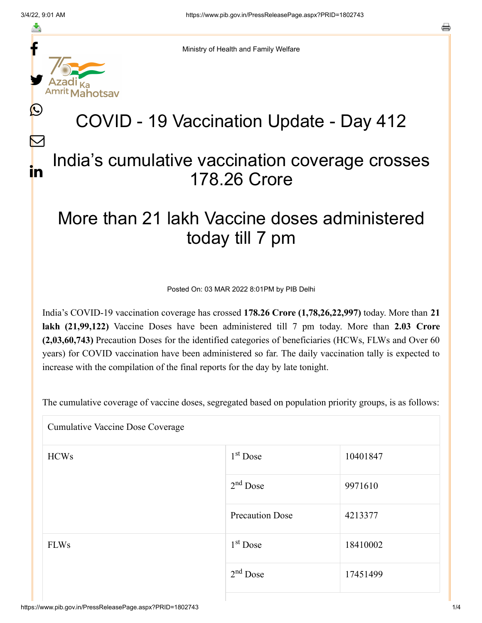f

≛

y.

lahotsav

L

 $\bm{\nabla}$ 

in

Ministry of Health and Family Welfare

## COVID - 19 Vaccination Update - Day 412

## India's cumulative vaccination coverage crosses 178.26 Crore

## More than 21 lakh Vaccine doses administered today till 7 pm

Posted On: 03 MAR 2022 8:01PM by PIB Delhi

India's COVID-19 vaccination coverage has crossed **178.26 Crore (1,78,26,22,997)** today. More than **21 lakh (21,99,122)** Vaccine Doses have been administered till 7 pm today. More than **2.03 Crore (2,03,60,743)** Precaution Doses for the identified categories of beneficiaries (HCWs, FLWs and Over 60 years) for COVID vaccination have been administered so far. The daily vaccination tally is expected to increase with the compilation of the final reports for the day by late tonight.

The cumulative coverage of vaccine doses, segregated based on population priority groups, is as follows:

| <b>Cumulative Vaccine Dose Coverage</b> |                        |          |  |  |
|-----------------------------------------|------------------------|----------|--|--|
| <b>HCWs</b>                             | $1st$ Dose             | 10401847 |  |  |
|                                         | $2nd$ Dose             | 9971610  |  |  |
|                                         | <b>Precaution Dose</b> | 4213377  |  |  |
| <b>FLWs</b>                             | 1 <sup>st</sup> Dose   | 18410002 |  |  |
|                                         | $2nd$ Dose             | 17451499 |  |  |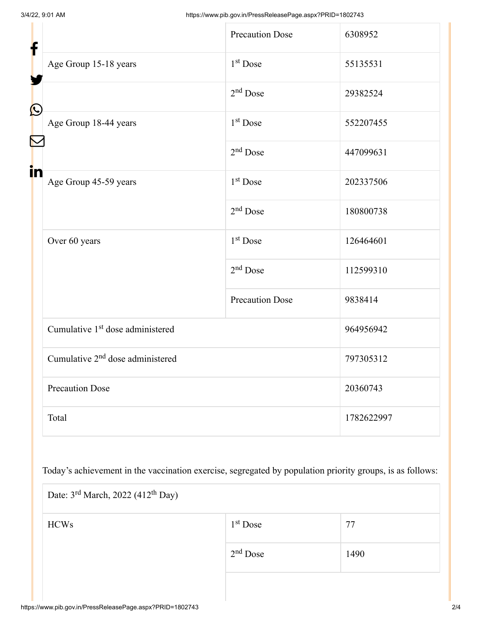| f                     |                                              | <b>Precaution Dose</b> | 6308952    |  |
|-----------------------|----------------------------------------------|------------------------|------------|--|
|                       | Age Group 15-18 years                        | 1 <sup>st</sup> Dose   | 55135531   |  |
| $\bigcirc$            |                                              | $2nd$ Dose             | 29382524   |  |
|                       | Age Group 18-44 years                        | $1st$ Dose             | 552207455  |  |
| $\blacktriangleright$ |                                              | $2nd$ Dose             | 447099631  |  |
| in                    | Age Group 45-59 years                        | $1st$ Dose             | 202337506  |  |
|                       |                                              | $2nd$ Dose             | 180800738  |  |
|                       | Over 60 years                                | $1st$ Dose             | 126464601  |  |
|                       |                                              | $2nd$ Dose             | 112599310  |  |
|                       |                                              | <b>Precaution Dose</b> | 9838414    |  |
|                       | Cumulative 1 <sup>st</sup> dose administered |                        | 964956942  |  |
|                       | Cumulative 2 <sup>nd</sup> dose administered |                        | 797305312  |  |
|                       | <b>Precaution Dose</b>                       |                        | 20360743   |  |
|                       | Total                                        |                        | 1782622997 |  |

Today's achievement in the vaccination exercise, segregated by population priority groups, is as follows:

| Date: $3^{\text{rd}}$ March, 2022 (412 <sup>th</sup> Day) |            |      |  |  |
|-----------------------------------------------------------|------------|------|--|--|
| <b>HCWs</b>                                               | $1st$ Dose | 77   |  |  |
|                                                           | $2nd$ Dose | 1490 |  |  |
|                                                           |            |      |  |  |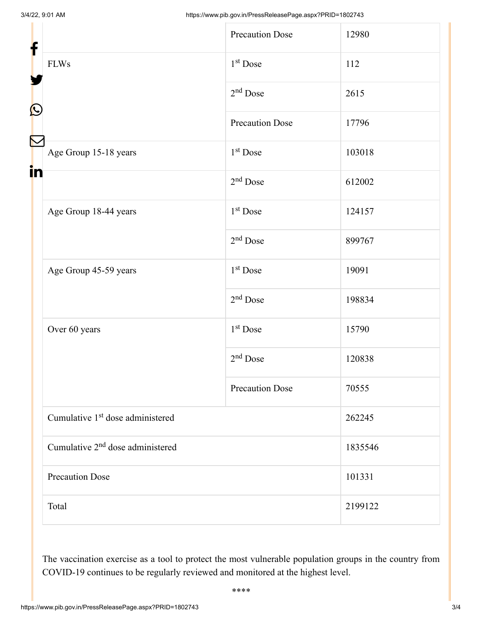| f<br>$\mathbf{\Omega}$<br>Ñ |                                              | <b>Precaution Dose</b> | 12980   |
|-----------------------------|----------------------------------------------|------------------------|---------|
|                             | <b>FLWs</b>                                  | $1st$ Dose             | 112     |
|                             |                                              | $2nd$ Dose             | 2615    |
|                             |                                              | <b>Precaution Dose</b> | 17796   |
|                             | Age Group 15-18 years                        | 1 <sup>st</sup> Dose   | 103018  |
| i <mark>n</mark>            |                                              | $2nd$ Dose             | 612002  |
|                             | Age Group 18-44 years                        | 1 <sup>st</sup> Dose   | 124157  |
|                             |                                              | $2nd$ Dose             | 899767  |
|                             | Age Group 45-59 years                        | $1st$ Dose             | 19091   |
|                             |                                              | $2nd$ Dose             | 198834  |
|                             | Over 60 years                                | 1 <sup>st</sup> Dose   | 15790   |
|                             |                                              | $2nd$ Dose             | 120838  |
|                             |                                              | <b>Precaution Dose</b> | 70555   |
|                             | Cumulative 1 <sup>st</sup> dose administered |                        | 262245  |
|                             | Cumulative 2 <sup>nd</sup> dose administered |                        | 1835546 |
|                             | <b>Precaution Dose</b>                       |                        | 101331  |
|                             | Total                                        |                        | 2199122 |

The vaccination exercise as a tool to protect the most vulnerable population groups in the country from COVID-19 continues to be regularly reviewed and monitored at the highest level.